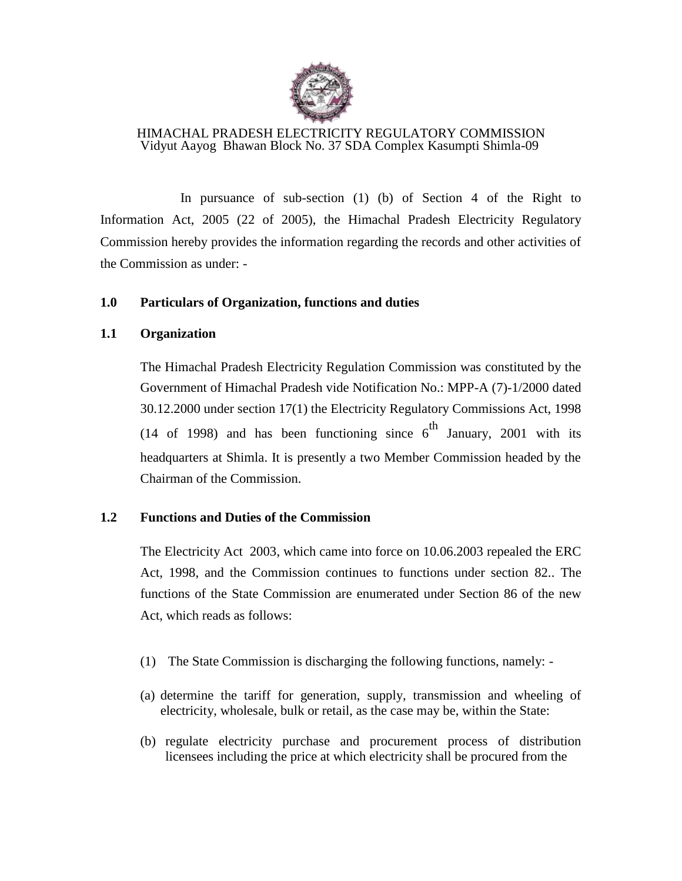

### HIMACHAL PRADESH ELECTRICITY REGULATORY COMMISSION Vidyut Aayog Bhawan Block No. 37 SDA Complex Kasumpti Shimla-09

In pursuance of sub-section (1) (b) of Section 4 of the Right to Information Act, 2005 (22 of 2005), the Himachal Pradesh Electricity Regulatory Commission hereby provides the information regarding the records and other activities of the Commission as under: -

### **1.0 Particulars of Organization, functions and duties**

### **1.1 Organization**

The Himachal Pradesh Electricity Regulation Commission was constituted by the Government of Himachal Pradesh vide Notification No.: MPP-A (7)-1/2000 dated 30.12.2000 under section 17(1) the Electricity Regulatory Commissions Act, 1998 (14 of 1998) and has been functioning since  $6<sup>th</sup>$  January, 2001 with its headquarters at Shimla. It is presently a two Member Commission headed by the Chairman of the Commission.

### **1.2 Functions and Duties of the Commission**

The Electricity Act 2003, which came into force on 10.06.2003 repealed the ERC Act, 1998, and the Commission continues to functions under section 82.. The functions of the State Commission are enumerated under Section 86 of the new Act, which reads as follows:

- (1) The State Commission is discharging the following functions, namely: -
- (a) determine the tariff for generation, supply, transmission and wheeling of electricity, wholesale, bulk or retail, as the case may be, within the State:
- (b) regulate electricity purchase and procurement process of distribution licensees including the price at which electricity shall be procured from the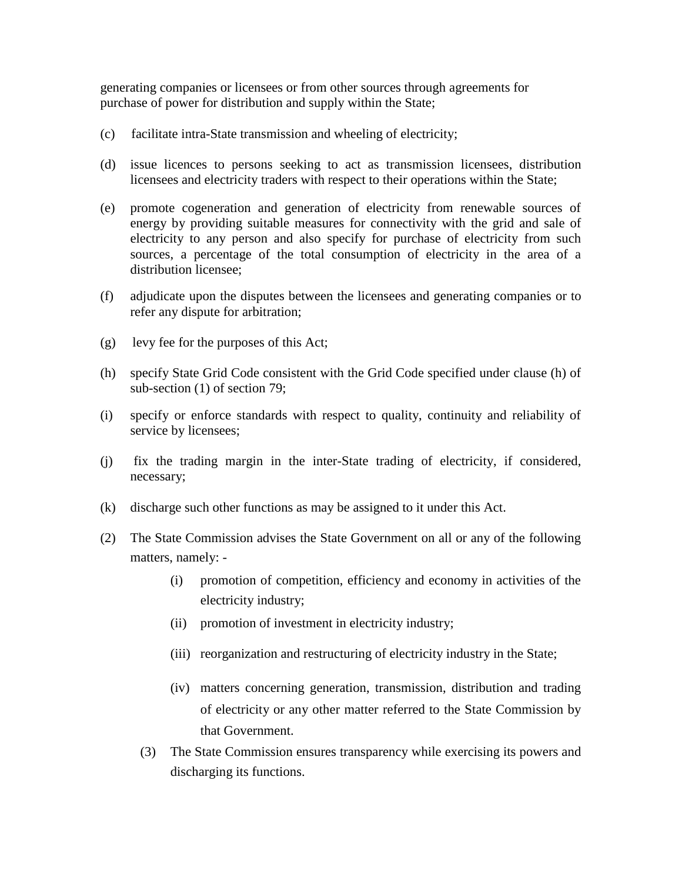generating companies or licensees or from other sources through agreements for purchase of power for distribution and supply within the State;

- (c) facilitate intra-State transmission and wheeling of electricity;
- (d) issue licences to persons seeking to act as transmission licensees, distribution licensees and electricity traders with respect to their operations within the State;
- (e) promote cogeneration and generation of electricity from renewable sources of energy by providing suitable measures for connectivity with the grid and sale of electricity to any person and also specify for purchase of electricity from such sources, a percentage of the total consumption of electricity in the area of a distribution licensee;
- (f) adjudicate upon the disputes between the licensees and generating companies or to refer any dispute for arbitration;
- (g) levy fee for the purposes of this Act;
- (h) specify State Grid Code consistent with the Grid Code specified under clause (h) of sub-section (1) of section 79;
- (i) specify or enforce standards with respect to quality, continuity and reliability of service by licensees;
- (j) fix the trading margin in the inter-State trading of electricity, if considered, necessary;
- (k) discharge such other functions as may be assigned to it under this Act.
- (2) The State Commission advises the State Government on all or any of the following matters, namely: -
	- (i) promotion of competition, efficiency and economy in activities of the electricity industry;
	- (ii) promotion of investment in electricity industry;
	- (iii) reorganization and restructuring of electricity industry in the State;
	- (iv) matters concerning generation, transmission, distribution and trading of electricity or any other matter referred to the State Commission by that Government.
	- (3) The State Commission ensures transparency while exercising its powers and discharging its functions.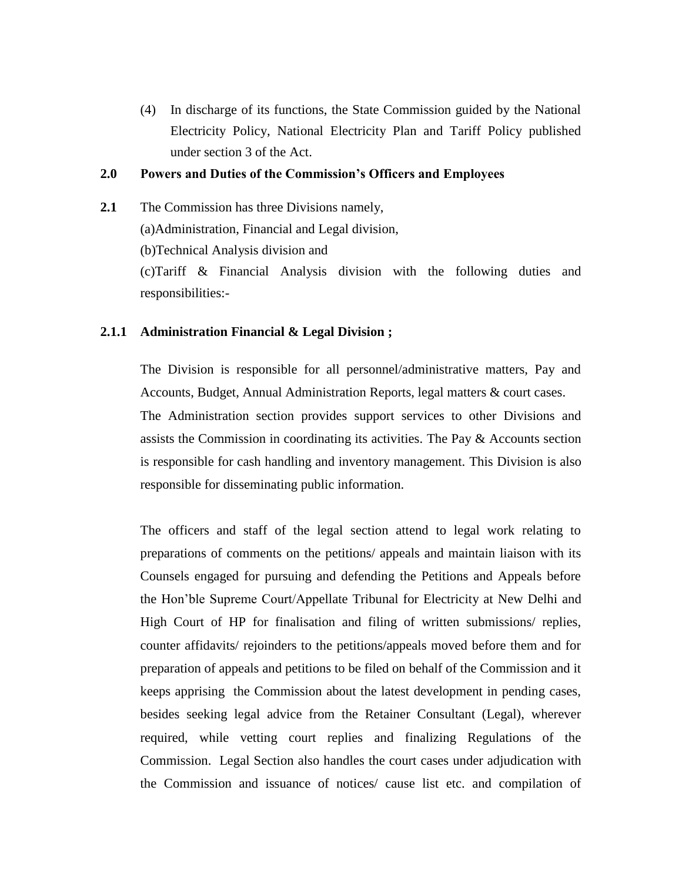(4) In discharge of its functions, the State Commission guided by the National Electricity Policy, National Electricity Plan and Tariff Policy published under section 3 of the Act.

### **2.0 Powers and Duties of the Commission's Officers and Employees**

**2.1** The Commission has three Divisions namely,

(a)Administration, Financial and Legal division,

(b)Technical Analysis division and

(c)Tariff & Financial Analysis division with the following duties and responsibilities:-

### **2.1.1 Administration Financial & Legal Division ;**

The Division is responsible for all personnel/administrative matters, Pay and Accounts, Budget, Annual Administration Reports, legal matters & court cases. The Administration section provides support services to other Divisions and assists the Commission in coordinating its activities. The Pay & Accounts section is responsible for cash handling and inventory management. This Division is also responsible for disseminating public information.

The officers and staff of the legal section attend to legal work relating to preparations of comments on the petitions/ appeals and maintain liaison with its Counsels engaged for pursuing and defending the Petitions and Appeals before the Hon'ble Supreme Court/Appellate Tribunal for Electricity at New Delhi and High Court of HP for finalisation and filing of written submissions/ replies, counter affidavits/ rejoinders to the petitions/appeals moved before them and for preparation of appeals and petitions to be filed on behalf of the Commission and it keeps apprising the Commission about the latest development in pending cases, besides seeking legal advice from the Retainer Consultant (Legal), wherever required, while vetting court replies and finalizing Regulations of the Commission. Legal Section also handles the court cases under adjudication with the Commission and issuance of notices/ cause list etc. and compilation of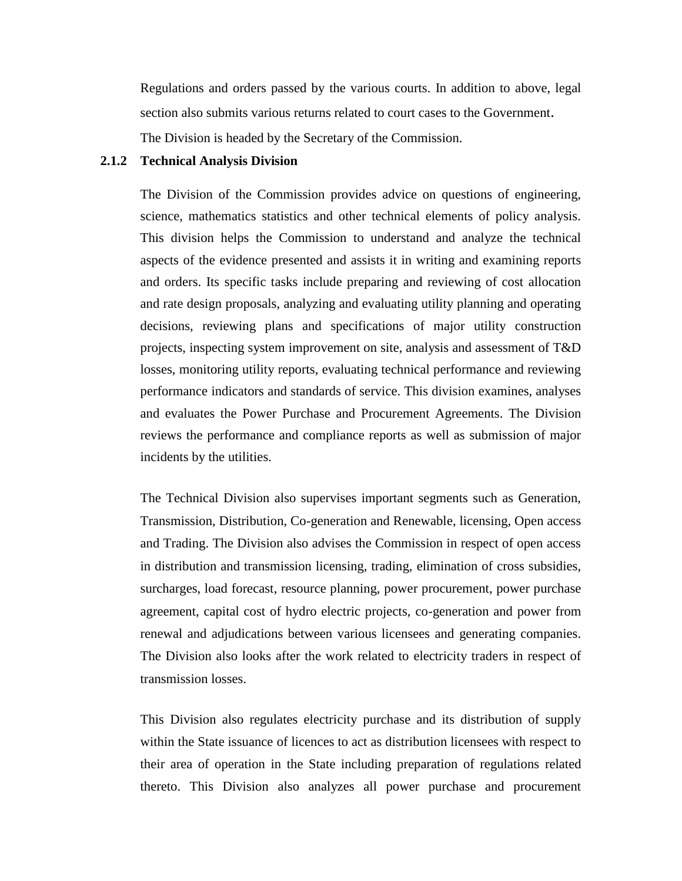Regulations and orders passed by the various courts. In addition to above, legal section also submits various returns related to court cases to the Government. The Division is headed by the Secretary of the Commission.

#### **2.1.2 Technical Analysis Division**

The Division of the Commission provides advice on questions of engineering, science, mathematics statistics and other technical elements of policy analysis. This division helps the Commission to understand and analyze the technical aspects of the evidence presented and assists it in writing and examining reports and orders. Its specific tasks include preparing and reviewing of cost allocation and rate design proposals, analyzing and evaluating utility planning and operating decisions, reviewing plans and specifications of major utility construction projects, inspecting system improvement on site, analysis and assessment of T&D losses, monitoring utility reports, evaluating technical performance and reviewing performance indicators and standards of service. This division examines, analyses and evaluates the Power Purchase and Procurement Agreements. The Division reviews the performance and compliance reports as well as submission of major incidents by the utilities.

The Technical Division also supervises important segments such as Generation, Transmission, Distribution, Co-generation and Renewable, licensing, Open access and Trading. The Division also advises the Commission in respect of open access in distribution and transmission licensing, trading, elimination of cross subsidies, surcharges, load forecast, resource planning, power procurement, power purchase agreement, capital cost of hydro electric projects, co-generation and power from renewal and adjudications between various licensees and generating companies. The Division also looks after the work related to electricity traders in respect of transmission losses.

This Division also regulates electricity purchase and its distribution of supply within the State issuance of licences to act as distribution licensees with respect to their area of operation in the State including preparation of regulations related thereto. This Division also analyzes all power purchase and procurement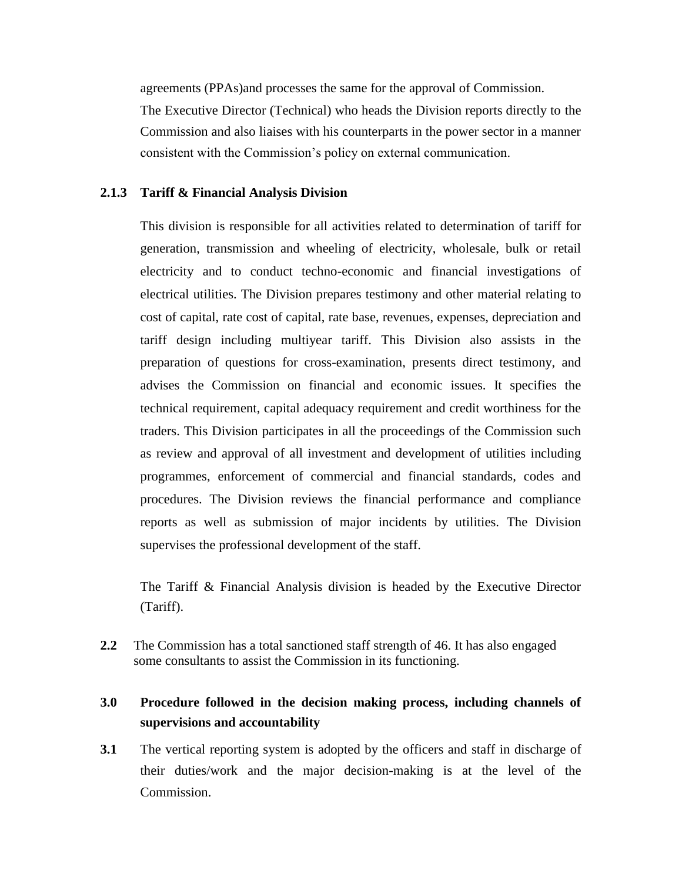agreements (PPAs)and processes the same for the approval of Commission. The Executive Director (Technical) who heads the Division reports directly to the Commission and also liaises with his counterparts in the power sector in a manner consistent with the Commission's policy on external communication.

### **2.1.3 Tariff & Financial Analysis Division**

This division is responsible for all activities related to determination of tariff for generation, transmission and wheeling of electricity, wholesale, bulk or retail electricity and to conduct techno-economic and financial investigations of electrical utilities. The Division prepares testimony and other material relating to cost of capital, rate cost of capital, rate base, revenues, expenses, depreciation and tariff design including multiyear tariff. This Division also assists in the preparation of questions for cross-examination, presents direct testimony, and advises the Commission on financial and economic issues. It specifies the technical requirement, capital adequacy requirement and credit worthiness for the traders. This Division participates in all the proceedings of the Commission such as review and approval of all investment and development of utilities including programmes, enforcement of commercial and financial standards, codes and procedures. The Division reviews the financial performance and compliance reports as well as submission of major incidents by utilities. The Division supervises the professional development of the staff.

The Tariff & Financial Analysis division is headed by the Executive Director (Tariff).

**2.2** The Commission has a total sanctioned staff strength of 46. It has also engaged some consultants to assist the Commission in its functioning.

### **3.0 Procedure followed in the decision making process, including channels of supervisions and accountability**

**3.1** The vertical reporting system is adopted by the officers and staff in discharge of their duties/work and the major decision-making is at the level of the Commission.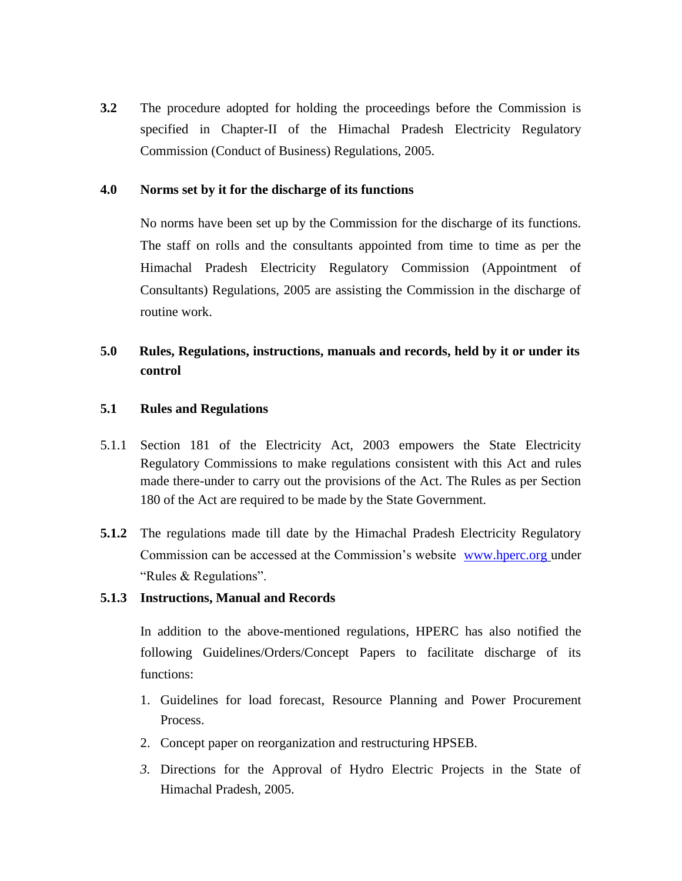**3.2** The procedure adopted for holding the proceedings before the Commission is specified in Chapter-II of the Himachal Pradesh Electricity Regulatory Commission (Conduct of Business) Regulations, 2005.

### **4.0 Norms set by it for the discharge of its functions**

No norms have been set up by the Commission for the discharge of its functions. The staff on rolls and the consultants appointed from time to time as per the Himachal Pradesh Electricity Regulatory Commission (Appointment of Consultants) Regulations, 2005 are assisting the Commission in the discharge of routine work.

# **5.0 Rules, Regulations, instructions, manuals and records, held by it or under its control**

#### **5.1 Rules and Regulations**

- 5.1.1 Section 181 of the Electricity Act, 2003 empowers the State Electricity Regulatory Commissions to make regulations consistent with this Act and rules made there-under to carry out the provisions of the Act. The Rules as per Section 180 of the Act are required to be made by the State Government.
- **5.1.2** The regulations made till date by the Himachal Pradesh Electricity Regulatory Commission can be accessed at the Commission's website [www.hperc.org](http://www.hperc.org/) under "Rules & Regulations".

#### **5.1.3 Instructions, Manual and Records**

In addition to the above-mentioned regulations, HPERC has also notified the following Guidelines/Orders/Concept Papers to facilitate discharge of its functions:

- 1. Guidelines for load forecast, Resource Planning and Power Procurement Process.
- 2. Concept paper on reorganization and restructuring HPSEB.
- *3.* Directions for the Approval of Hydro Electric Projects in the State of Himachal Pradesh, 2005.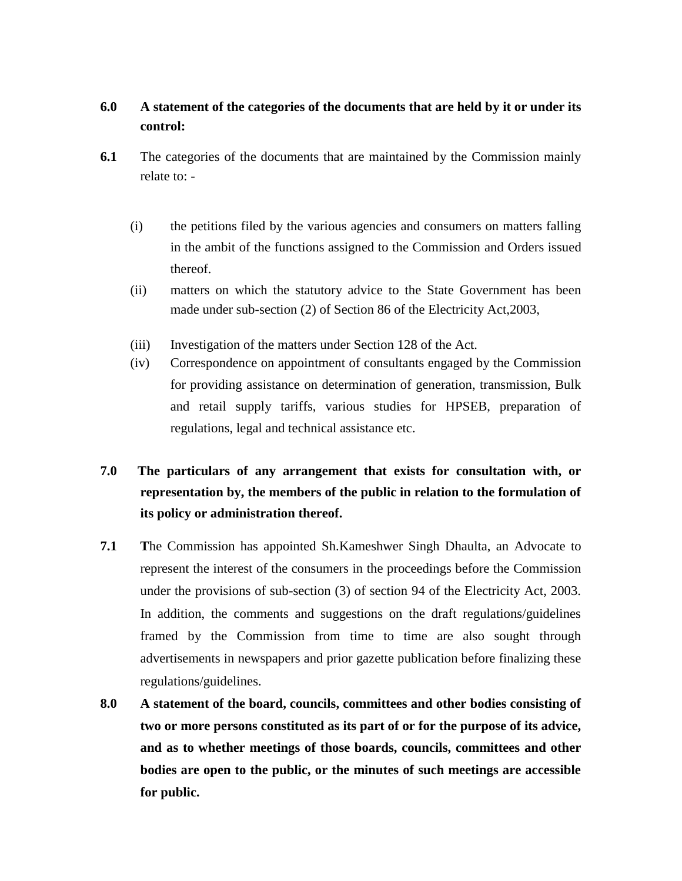# **6.0 A statement of the categories of the documents that are held by it or under its control:**

- **6.1** The categories of the documents that are maintained by the Commission mainly relate to: -
	- (i) the petitions filed by the various agencies and consumers on matters falling in the ambit of the functions assigned to the Commission and Orders issued thereof.
	- (ii) matters on which the statutory advice to the State Government has been made under sub-section (2) of Section 86 of the Electricity Act,2003,
	- (iii) Investigation of the matters under Section 128 of the Act.
	- (iv) Correspondence on appointment of consultants engaged by the Commission for providing assistance on determination of generation, transmission, Bulk and retail supply tariffs, various studies for HPSEB, preparation of regulations, legal and technical assistance etc.

# **7.0 The particulars of any arrangement that exists for consultation with, or representation by, the members of the public in relation to the formulation of its policy or administration thereof.**

- **7.1 T**he Commission has appointed Sh.Kameshwer Singh Dhaulta, an Advocate to represent the interest of the consumers in the proceedings before the Commission under the provisions of sub-section (3) of section 94 of the Electricity Act, 2003. In addition, the comments and suggestions on the draft regulations/guidelines framed by the Commission from time to time are also sought through advertisements in newspapers and prior gazette publication before finalizing these regulations/guidelines.
- **8.0 A statement of the board, councils, committees and other bodies consisting of two or more persons constituted as its part of or for the purpose of its advice, and as to whether meetings of those boards, councils, committees and other bodies are open to the public, or the minutes of such meetings are accessible for public.**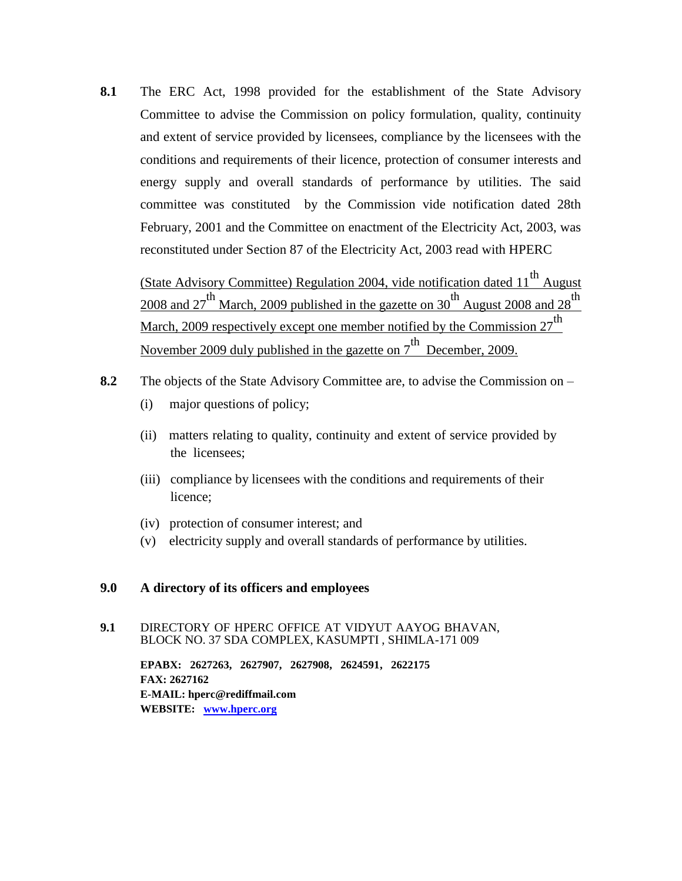**8.1** The ERC Act, 1998 provided for the establishment of the State Advisory Committee to advise the Commission on policy formulation, quality, continuity and extent of service provided by licensees, compliance by the licensees with the conditions and requirements of their licence, protection of consumer interests and energy supply and overall standards of performance by utilities. The said committee was constituted by the Commission vide notification dated 28th February, 2001 and the Committee on enactment of the Electricity Act, 2003, was reconstituted under Section 87 of the Electricity Act, 2003 read with HPERC

(State Advisory Committee) Regulation 2004, vide notification dated 11<sup>th</sup> August 2008 and 27<sup>th</sup> March, 2009 published in the gazette on 30<sup>th</sup> August 2008 and 28<sup>th</sup> March, 2009 respectively except one member notified by the Commission  $27^{th}$ November 2009 duly published in the gazette on  $7^{th}$  December, 2009.

- **8.2** The objects of the State Advisory Committee are, to advise the Commission on
	- (i) major questions of policy;
	- (ii) matters relating to quality, continuity and extent of service provided by the licensees;
	- (iii) compliance by licensees with the conditions and requirements of their licence;
	- (iv) protection of consumer interest; and
	- (v) electricity supply and overall standards of performance by utilities.

#### **9.0 A directory of its officers and employees**

#### **9.1** DIRECTORY OF HPERC OFFICE AT VIDYUT AAYOG BHAVAN, BLOCK NO. 37 SDA COMPLEX, KASUMPTI , SHIMLA-171 009

**EPABX: 2627263, 2627907, 2627908, 2624591, 2622175 FAX: 2627162 E-MAIL: hperc@rediffmail.com WEBSITE: [www.hperc.org](http://www.hperc.org/)**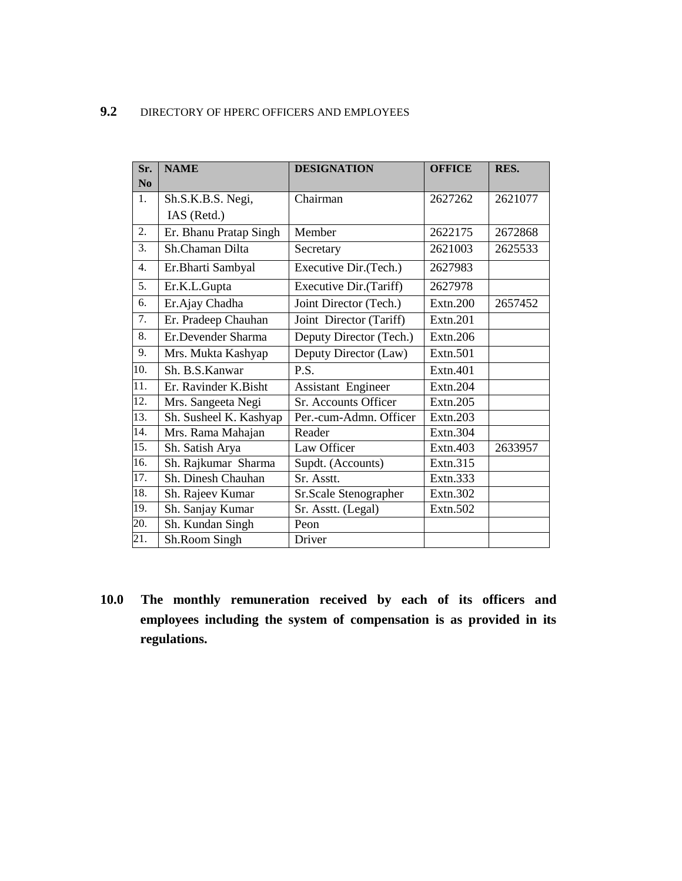### **9.2** DIRECTORY OF HPERC OFFICERS AND EMPLOYEES

| Sr.                  | <b>NAME</b>            | <b>DESIGNATION</b>        | <b>OFFICE</b> | RES.    |
|----------------------|------------------------|---------------------------|---------------|---------|
| $\bf N$ <sub>0</sub> |                        |                           |               |         |
| 1.                   | Sh.S.K.B.S. Negi,      | Chairman                  | 2627262       | 2621077 |
|                      | IAS (Retd.)            |                           |               |         |
| 2.                   | Er. Bhanu Pratap Singh | Member                    | 2622175       | 2672868 |
| 3.                   | Sh.Chaman Dilta        | Secretary                 | 2621003       | 2625533 |
| 4.                   | Er.Bharti Sambyal      | Executive Dir.(Tech.)     | 2627983       |         |
| 5.                   | Er.K.L.Gupta           | Executive Dir.(Tariff)    | 2627978       |         |
| 6.                   | Er.Ajay Chadha         | Joint Director (Tech.)    | Extn.200      | 2657452 |
| 7.                   | Er. Pradeep Chauhan    | Joint Director (Tariff)   | Extn.201      |         |
| 8.                   | Er.Devender Sharma     | Deputy Director (Tech.)   | Extn.206      |         |
| 9.                   | Mrs. Mukta Kashyap     | Deputy Director (Law)     | Extn.501      |         |
| 10.                  | Sh. B.S. Kanwar        | P.S.                      | Extn.401      |         |
| 11.                  | Er. Ravinder K.Bisht   | <b>Assistant Engineer</b> | Extn.204      |         |
| 12.                  | Mrs. Sangeeta Negi     | Sr. Accounts Officer      | Extn.205      |         |
| 13.                  | Sh. Susheel K. Kashyap | Per.-cum-Admn. Officer    | Extn.203      |         |
| 14.                  | Mrs. Rama Mahajan      | Reader                    | Extn.304      |         |
| 15.                  | Sh. Satish Arya        | Law Officer               | Extn.403      | 2633957 |
| 16.                  | Sh. Rajkumar Sharma    | Supdt. (Accounts)         | Extn.315      |         |
| 17.                  | Sh. Dinesh Chauhan     | Sr. Asstt.                | Extn.333      |         |
| 18.                  | Sh. Rajeev Kumar       | Sr.Scale Stenographer     | Extn.302      |         |
| 19.                  | Sh. Sanjay Kumar       | Sr. Asstt. (Legal)        | Extn.502      |         |
| 20.                  | Sh. Kundan Singh       | Peon                      |               |         |
| 21.                  | Sh.Room Singh          | Driver                    |               |         |

**10.0 The monthly remuneration received by each of its officers and employees including the system of compensation is as provided in its regulations.**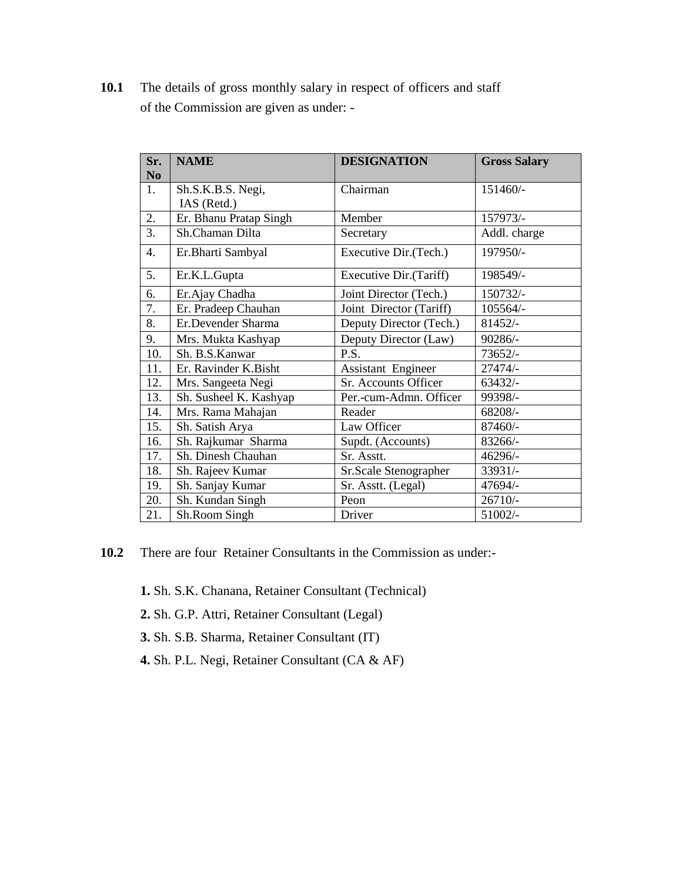10.1 The details of gross monthly salary in respect of officers and staff of the Commission are given as under: -

| Sr.            | <b>NAME</b>            | <b>DESIGNATION</b>      | <b>Gross Salary</b> |
|----------------|------------------------|-------------------------|---------------------|
| N <sub>0</sub> |                        |                         |                     |
| 1.             | Sh.S.K.B.S. Negi,      | Chairman                | 151460/-            |
|                | IAS (Retd.)            |                         |                     |
| 2.             | Er. Bhanu Pratap Singh | Member                  | 157973/-            |
| 3.             | Sh.Chaman Dilta        | Secretary               | Addl. charge        |
| 4.             | Er.Bharti Sambyal      | Executive Dir. (Tech.)  | 197950/-            |
| 5.             | Er.K.L.Gupta           | Executive Dir.(Tariff)  | 198549/-            |
| 6.             | Er.Ajay Chadha         | Joint Director (Tech.)  | 150732/-            |
| 7.             | Er. Pradeep Chauhan    | Joint Director (Tariff) | 105564/-            |
| 8.             | Er.Devender Sharma     | Deputy Director (Tech.) | 81452/-             |
| 9.             | Mrs. Mukta Kashyap     | Deputy Director (Law)   | 90286/-             |
| 10.            | Sh. B.S. Kanwar        | P.S.                    | 73652/-             |
| 11.            | Er. Ravinder K.Bisht   | Assistant Engineer      | 27474/-             |
| 12.            | Mrs. Sangeeta Negi     | Sr. Accounts Officer    | $63432/-$           |
| 13.            | Sh. Susheel K. Kashyap | Per.-cum-Admn. Officer  | 99398/-             |
| 14.            | Mrs. Rama Mahajan      | Reader                  | 68208/-             |
| 15.            | Sh. Satish Arya        | Law Officer             | 87460/-             |
| 16.            | Sh. Rajkumar Sharma    | Supdt. (Accounts)       | 83266/-             |
| 17.            | Sh. Dinesh Chauhan     | Sr. Asstt.              | 46296/-             |
| 18.            | Sh. Rajeev Kumar       | Sr.Scale Stenographer   | 33931/-             |
| 19.            | Sh. Sanjay Kumar       | Sr. Asstt. (Legal)      | 47694/-             |
| 20.            | Sh. Kundan Singh       | Peon                    | $26710/-$           |
| 21.            | Sh.Room Singh          | Driver                  | 51002/-             |

- **10.2** There are four Retainer Consultants in the Commission as under:-
	- **1.** Sh. S.K. Chanana, Retainer Consultant (Technical)
	- **2.** Sh. G.P. Attri, Retainer Consultant (Legal)
	- **3.** Sh. S.B. Sharma, Retainer Consultant (IT)
	- **4.** Sh. P.L. Negi, Retainer Consultant (CA & AF)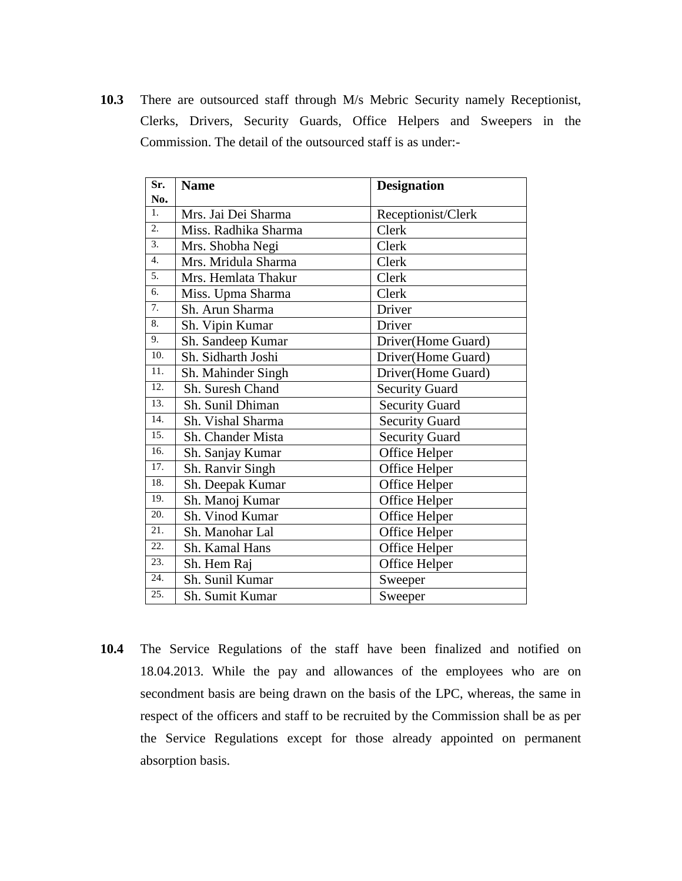**10.3** There are outsourced staff through M/s Mebric Security namely Receptionist, Clerks, Drivers, Security Guards, Office Helpers and Sweepers in the Commission. The detail of the outsourced staff is as under:-

| Sr.<br>No.       | <b>Name</b>          | <b>Designation</b>    |
|------------------|----------------------|-----------------------|
| 1 <sub>1</sub>   | Mrs. Jai Dei Sharma  | Receptionist/Clerk    |
| 2.               | Miss. Radhika Sharma | Clerk                 |
| 3.               | Mrs. Shobha Negi     | Clerk                 |
| $\overline{4}$ . | Mrs. Mridula Sharma  | Clerk                 |
| 5.               | Mrs. Hemlata Thakur  | Clerk                 |
| 6.               | Miss. Upma Sharma    | Clerk                 |
| 7.               | Sh. Arun Sharma      | Driver                |
| 8.               | Sh. Vipin Kumar      | Driver                |
| 9.               | Sh. Sandeep Kumar    | Driver(Home Guard)    |
| 10.              | Sh. Sidharth Joshi   | Driver(Home Guard)    |
| 11.              | Sh. Mahinder Singh   | Driver(Home Guard)    |
| 12.              | Sh. Suresh Chand     | <b>Security Guard</b> |
| 13.              | Sh. Sunil Dhiman     | <b>Security Guard</b> |
| 14.              | Sh. Vishal Sharma    | <b>Security Guard</b> |
| 15.              | Sh. Chander Mista    | <b>Security Guard</b> |
| 16.              | Sh. Sanjay Kumar     | Office Helper         |
| 17.              | Sh. Ranvir Singh     | Office Helper         |
| 18.              | Sh. Deepak Kumar     | Office Helper         |
| 19.              | Sh. Manoj Kumar      | Office Helper         |
| 20.              | Sh. Vinod Kumar      | Office Helper         |
| 21.              | Sh. Manohar Lal      | Office Helper         |
| 22.              | Sh. Kamal Hans       | Office Helper         |
| 23.              | Sh. Hem Raj          | Office Helper         |
| 24.              | Sh. Sunil Kumar      | Sweeper               |
| 25.              | Sh. Sumit Kumar      | Sweeper               |

**10.4** The Service Regulations of the staff have been finalized and notified on 18.04.2013. While the pay and allowances of the employees who are on secondment basis are being drawn on the basis of the LPC, whereas, the same in respect of the officers and staff to be recruited by the Commission shall be as per the Service Regulations except for those already appointed on permanent absorption basis.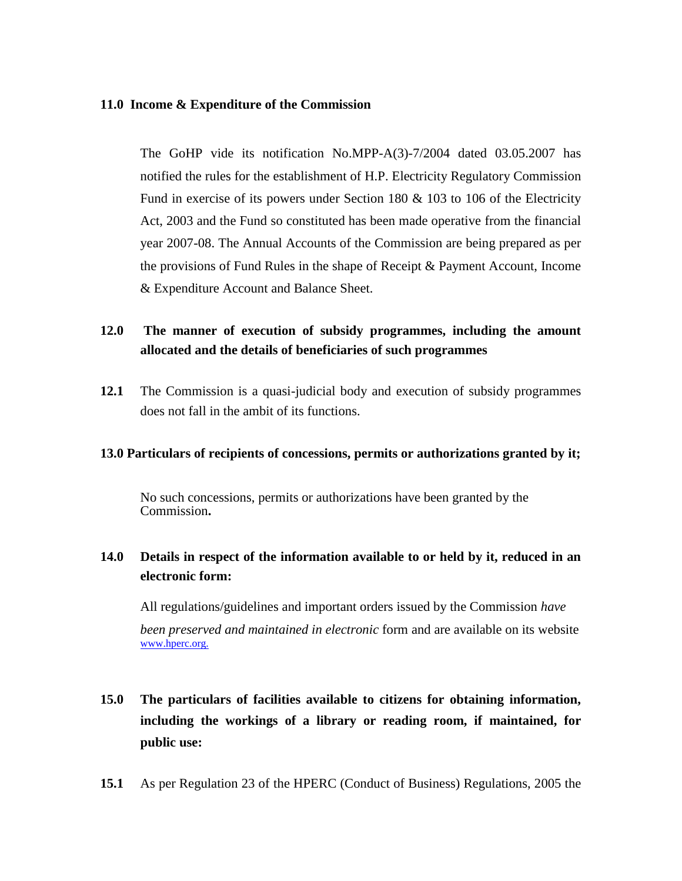### **11.0 Income & Expenditure of the Commission**

The GoHP vide its notification No.MPP-A(3)-7/2004 dated 03.05.2007 has notified the rules for the establishment of H.P. Electricity Regulatory Commission Fund in exercise of its powers under Section 180 & 103 to 106 of the Electricity Act, 2003 and the Fund so constituted has been made operative from the financial year 2007-08. The Annual Accounts of the Commission are being prepared as per the provisions of Fund Rules in the shape of Receipt & Payment Account, Income & Expenditure Account and Balance Sheet.

# **12.0 The manner of execution of subsidy programmes, including the amount allocated and the details of beneficiaries of such programmes**

**12.1** The Commission is a quasi-judicial body and execution of subsidy programmes does not fall in the ambit of its functions.

#### **13.0 Particulars of recipients of concessions, permits or authorizations granted by it;**

No such concessions, permits or authorizations have been granted by the Commission**.**

# **14.0 Details in respect of the information available to or held by it, reduced in an electronic form:**

All regulations/guidelines and important orders issued by the Commission *have been preserved and maintained in electronic* form and are available on its website [www.hperc.org.](http://www.hperc.org.in/)

# **15.0 The particulars of facilities available to citizens for obtaining information, including the workings of a library or reading room, if maintained, for public use:**

**15.1** As per Regulation 23 of the HPERC (Conduct of Business) Regulations, 2005 the